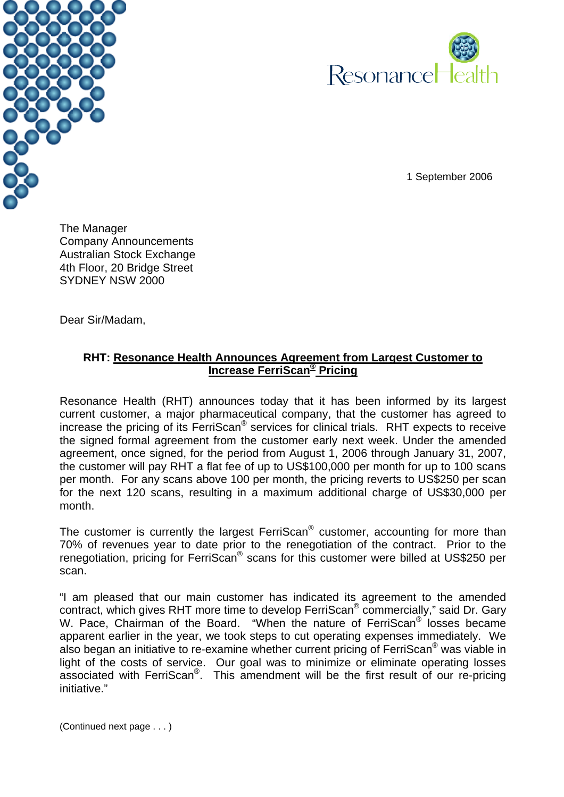



1 September 2006

The Manager Company Announcements Australian Stock Exchange 4th Floor, 20 Bridge Street SYDNEY NSW 2000

Dear Sir/Madam,

## **RHT: Resonance Health Announces Agreement from Largest Customer to Increase FerriScan® Pricing**

Resonance Health (RHT) announces today that it has been informed by its largest current customer, a major pharmaceutical company, that the customer has agreed to increase the pricing of its FerriScan® services for clinical trials. RHT expects to receive the signed formal agreement from the customer early next week. Under the amended agreement, once signed, for the period from August 1, 2006 through January 31, 2007, the customer will pay RHT a flat fee of up to US\$100,000 per month for up to 100 scans per month. For any scans above 100 per month, the pricing reverts to US\$250 per scan for the next 120 scans, resulting in a maximum additional charge of US\$30,000 per month.

The customer is currently the largest FerriScan® customer, accounting for more than 70% of revenues year to date prior to the renegotiation of the contract. Prior to the renegotiation, pricing for FerriScan<sup>®</sup> scans for this customer were billed at US\$250 per scan.

"I am pleased that our main customer has indicated its agreement to the amended contract, which gives RHT more time to develop FerriScan® commercially," said Dr. Gary W. Pace, Chairman of the Board. "When the nature of FerriScan® losses became apparent earlier in the year, we took steps to cut operating expenses immediately. We also began an initiative to re-examine whether current pricing of FerriScan<sup>®</sup> was viable in light of the costs of service. Our goal was to minimize or eliminate operating losses associated with FerriScan<sup>®</sup>. This amendment will be the first result of our re-pricing initiative."

(Continued next page . . . )